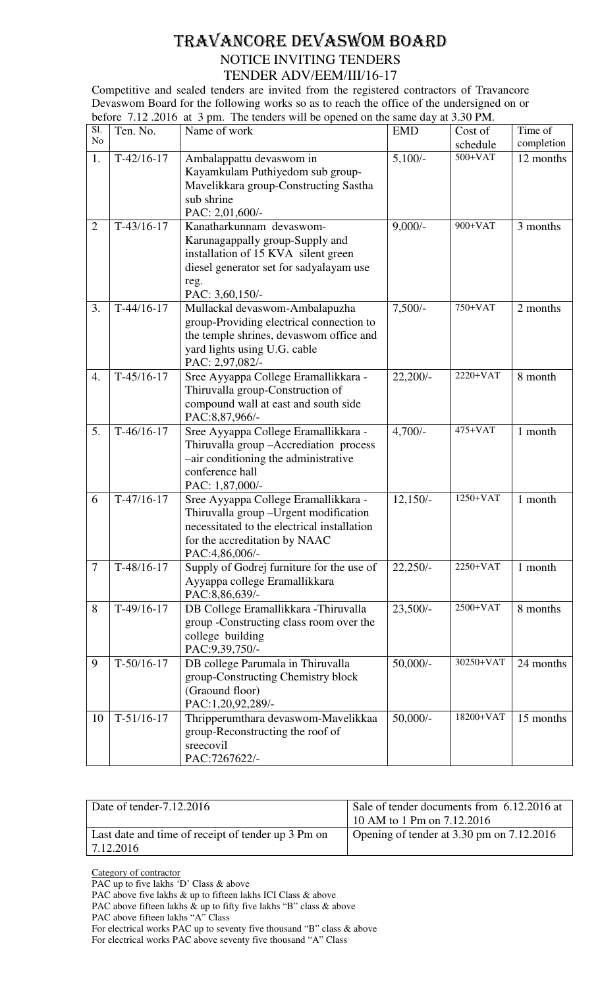## TRAVANCORE DEVASWOM BOARD NOTICE INVITING TENDERS TENDER ADV/EEM/III/16-17

Competitive and sealed tenders are invited from the registered contractors of Travancore Devaswom Board for the following works so as to reach the office of the undersigned on or before 7.12 .2016 at 3 pm. The tenders will be opened on the same day at 3.30 PM.

| Sl.<br>No      | Ten. No.     | Name of work                                                                                                                                                                     | <b>EMD</b>            | Cost of               | Time of    |
|----------------|--------------|----------------------------------------------------------------------------------------------------------------------------------------------------------------------------------|-----------------------|-----------------------|------------|
|                |              |                                                                                                                                                                                  |                       | schedule<br>$500+VAT$ | completion |
| 1.             | $T-42/16-17$ | Ambalappattu devaswom in<br>Kayamkulam Puthiyedom sub group-<br>Mavelikkara group-Constructing Sastha<br>sub shrine<br>PAC: 2,01,600/-                                           | $5,100/-$             |                       | 12 months  |
| $\overline{2}$ | $T-43/16-17$ | Kanatharkunnam devaswom-<br>Karunagappally group-Supply and<br>installation of 15 KVA silent green<br>diesel generator set for sadyalayam use<br>reg.<br>PAC: 3,60,150/-         | $9,000/-$             | 900+VAT               | 3 months   |
| 3.             | $T-44/16-17$ | Mullackal devaswom-Ambalapuzha<br>group-Providing electrical connection to<br>the temple shrines, devaswom office and<br>yard lights using U.G. cable<br>PAC: 2,97,082/-         | $7,500/-$             | 750+VAT               | 2 months   |
| 4.             | $T-45/16-17$ | Sree Ayyappa College Eramallikkara -<br>Thiruvalla group-Construction of<br>compound wall at east and south side<br>PAC:8,87,966/-                                               | $22,200/-$            | $2220+VAT$            | 8 month    |
| 5.             | $T-46/16-17$ | Sree Ayyappa College Eramallikkara -<br>Thiruvalla group - Accrediation process<br>-air conditioning the administrative<br>conference hall<br>PAC: 1,87,000/-                    | $4,700/-$             | 475+VAT               | 1 month    |
| 6              | $T-47/16-17$ | Sree Ayyappa College Eramallikkara -<br>Thiruvalla group - Urgent modification<br>necessitated to the electrical installation<br>for the accreditation by NAAC<br>PAC:4,86,006/- | $12,150/-$            | $1250+VAT$            | 1 month    |
| $\tau$         | $T-48/16-17$ | Supply of Godrej furniture for the use of<br>Ayyappa college Eramallikkara<br>PAC:8,86,639/-                                                                                     | $22,250/-$            | $2250+VAT$            | 1 month    |
| 8              | $T-49/16-17$ | DB College Eramallikkara - Thiruvalla<br>group - Constructing class room over the<br>college building<br>PAC:9,39,750/-                                                          | $23,500/-$            | 2500+VAT              | 8 months   |
| 9              | $T-50/16-17$ | DB college Parumala in Thiruvalla<br>group-Constructing Chemistry block<br>(Graound floor)<br>PAC:1,20,92,289/-                                                                  | $50,000/$ -           | 30250+VAT             | 24 months  |
| 10             | $T-51/16-17$ | Thripperumthara devaswom-Mavelikkaa<br>group-Reconstructing the roof of<br>sreecovil<br>PAC:7267622/-                                                                            | $50,000$ <sup>-</sup> | 18200+VAT             | 15 months  |

| Date of tender-7.12.2016                           | Sale of tender documents from 6.12.2016 at |  |  |
|----------------------------------------------------|--------------------------------------------|--|--|
|                                                    | 10 AM to 1 Pm on 7.12.2016                 |  |  |
| Last date and time of receipt of tender up 3 Pm on | Opening of tender at 3.30 pm on 7.12.2016  |  |  |
| 7.12.2016                                          |                                            |  |  |

Category of contractor

PAC up to five lakhs 'D' Class & above

PAC above five lakhs & up to fifteen lakhs ICI Class & above

PAC above fifteen lakhs & up to fifty five lakhs "B" class & above

PAC above fifteen lakhs "A" Class

For electrical works PAC up to seventy five thousand "B" class & above For electrical works PAC above seventy five thousand "A" Class